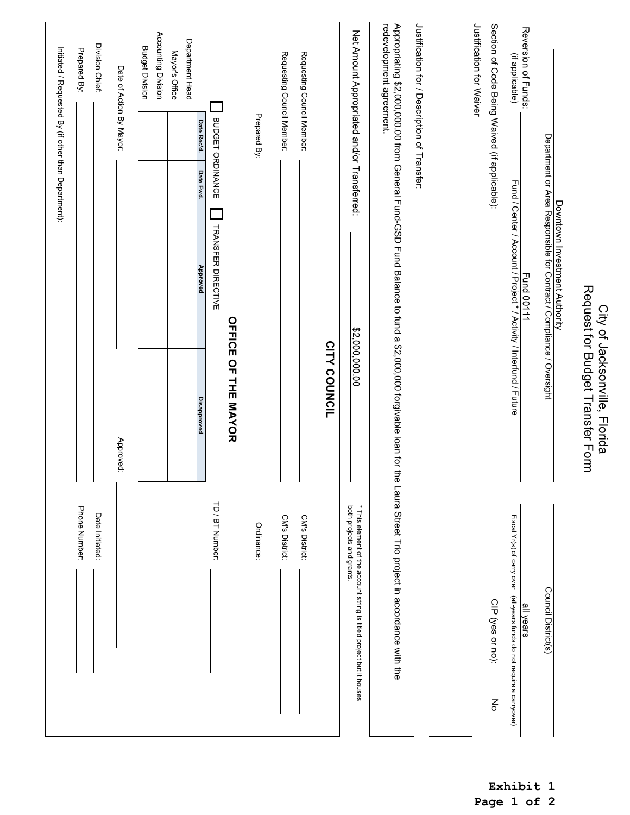| Downtown Investment Authority                                                                                                             |                                                                                                   |
|-------------------------------------------------------------------------------------------------------------------------------------------|---------------------------------------------------------------------------------------------------|
| Department or Area Responsible for Contract / Compliance / Oversight                                                                      | Council District(s)                                                                               |
| Reversion of Funds:<br>(if applicable)<br>Fund / Center / Account / Project * / Activity / Interfund / Future<br><b>Fund 00111</b>        | Fiscal Yr(s) of carry over (all-years funds do not require a carryover)<br>all years              |
| Section of Code Being Waived (if applicable):                                                                                             | CIP (yes or no):<br>$\epsilon$                                                                    |
| Justification for Waiver                                                                                                                  |                                                                                                   |
|                                                                                                                                           |                                                                                                   |
| Justification for / Description of Transfer:                                                                                              |                                                                                                   |
| redevelopment agreement.<br>Appropriating \$2,000,000.00 from General Fund-GSD Fund Balance to fund a \$2,000,000 forgivable loan for the | Laura Street Trio project in accordance with the                                                  |
| Net Amount Appropriated and/or Transferred:<br>\$2,000,000.00                                                                             | * This element of the account string is titled project but it houses<br>both projects and grants. |
| CITY COUNCIL                                                                                                                              |                                                                                                   |
| Requesting Council Member:                                                                                                                | CM's District:                                                                                    |
| Requesting Council Member:                                                                                                                | <b>CM's District:</b>                                                                             |
| Prepared By:                                                                                                                              | Ordinance:                                                                                        |
| <b>OFFICE OF THE MAYOR</b>                                                                                                                |                                                                                                   |
| BUDGET ORDINANCE<br><b>TRANSFER DIRECTIVE</b>                                                                                             | TD / BT Number:                                                                                   |
| Date Rec'd.<br>Date Fwd.<br>Approved<br><b>Disapproved</b>                                                                                |                                                                                                   |
| Department Head                                                                                                                           |                                                                                                   |
| Accounting Division<br>Mayor's Office                                                                                                     |                                                                                                   |
| <b>Budget Division</b>                                                                                                                    |                                                                                                   |
| Date of Action By Mayor:<br>Approved:                                                                                                     |                                                                                                   |
| Division Chief:                                                                                                                           | Date Initiated:                                                                                   |
| Prepared By:                                                                                                                              | Phone Number:                                                                                     |
| Initiated / Requested By (if other than Department):                                                                                      |                                                                                                   |

City of Jacksonville, Florida Request for Budget Transfer Form

City of Jacksonville, Florida<br>Request for Budget Transfer Form